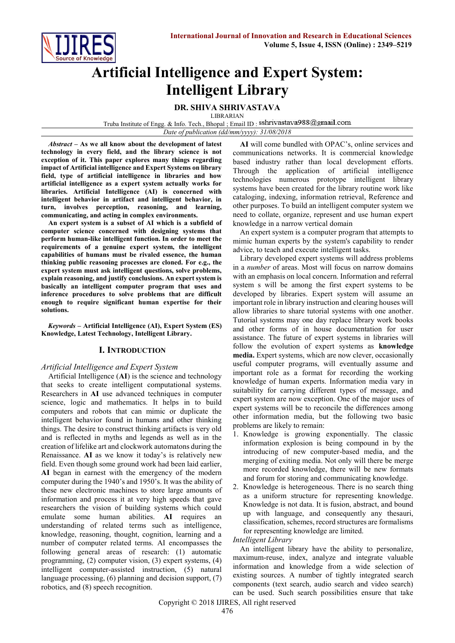

# **Artificial Intelligence and Expert System: Intelligent Library**

**DR. SHIVA SHRIVASTAVA** LIBRARIAN

Truba Institute of Engg. & Info. Tech., Bhopal; Email ID: sshrivastava988@gmail.com

*Date of publication (dd/mm/yyyy): 31/08/2018*

*Abstract* **– As we all know about the development of latest technology in every field, and the library science is not exception of it. This paper explores many things regarding impact of Artificial intelligence and Expert Systems on library field, type of artificial intelligence in libraries and how artificial intelligence as a expert system actually works for libraries. Artificial Intelligence (AI) is concerned with intelligent behavior in artifact and intelligent behavior, in turn, involves perception, reasoning, and learning, communicating, and acting in complex environments.** 

**An expert system is a subset of AI which is a subfield of computer science concerned with designing systems that perform human-like intelligent function. In order to meet the requirements of a genuine expert system, the intelligent capabilities of humans must be rivaled essence, the human thinking public reasoning processes are cloned. For e.g., the expert system must ask intelligent questions, solve problems, explain reasoning, and justify conclusions. An expert system is basically an intelligent computer program that uses and inference procedures to solve problems that are difficult enough to require significant human expertise for their solutions.**

*Keywords* **– Artificial Intelligence (AI), Expert System (ES) Knowledge, Latest Technology, Intelligent Library.**

## **I. INTRODUCTION**

## *Artificial Intelligence and Expert System*

Artificial Intelligence (**AI**) is the science and technology that seeks to create intelligent computational systems. Researchers in **AI** use advanced techniques in computer science, logic and mathematics. It helps in to build computers and robots that can mimic or duplicate the intelligent behavior found in humans and other thinking things. The desire to construct thinking artifacts is very old and is reflected in myths and legends as well as in the creation of lifelike art and clockwork automatons during the Renaissance. **AI** as we know it today's is relatively new field. Even though some ground work had been laid earlier, **AI** began in earnest with the emergency of the modern computer during the 1940's and 1950's. It was the ability of these new electronic machines to store large amounts of information and process it at very high speeds that gave researchers the vision of building systems which could emulate some human abilities. **AI** requires an understanding of related terms such as intelligence, knowledge, reasoning, thought, cognition, learning and a number of computer related terms. AI encompasses the following general areas of research: (1) automatic programming, (2) computer vision, (3) expert systems, (4) intelligent computer-assisted instruction, (5) natural language processing, (6) planning and decision support, (7) robotics, and (8) speech recognition.

**AI** will come bundled with OPAC's, online services and communications networks. It is commercial knowledge based industry rather than local development efforts. Through the application of artificial intelligence technologies numerous prototype intelligent library systems have been created for the library routine work like cataloging, indexing, information retrieval, Reference and other purposes. To build an intelligent computer system we need to collate, organize, represent and use human expert knowledge in a narrow vertical domain

An expert system is a computer program that attempts to mimic human experts by the system's capability to render advice, to teach and execute intelligent tasks.

Library developed expert systems will address problems in a *number* of areas. Most will focus on narrow domains with an emphasis on local concern. Information and referral system s will be among the first expert systems to be developed by libraries. Expert system will assume an important role in library instruction and clearing houses will allow libraries to share tutorial systems with one another. Tutorial systems may one day replace library work books and other forms of in house documentation for user assistance. The future of expert systems in libraries will follow the evolution of expert systems as **knowledge media.** Expert systems, which are now clever, occasionally useful computer programs, will eventually assume and important role as a format for recording the working knowledge of human experts. Information media vary in suitability for carrying different types of message, and expert system are now exception. One of the major uses of expert systems will be to reconcile the differences among other information media, but the following two basic problems are likely to remain:

- 1. Knowledge is growing exponentially. The classic information explosion is being compound in by the introducing of new computer-based media, and the merging of exiting media. Not only will there be merge more recorded knowledge, there will be new formats and forum for storing and communicating knowledge.
- 2. Knowledge is heterogeneous. There is no search thing as a uniform structure for representing knowledge. Knowledge is not data. It is fusion, abstract, and bound up with language, and consequently any thesauri, classification, schemes, record structures are formalisms for representing knowledge are limited.

*Intelligent Library*

An intelligent library have the ability to personalize, maximum-reuse, index, analyze and integrate valuable information and knowledge from a wide selection of existing sources. A number of tightly integrated search components (text search, audio search and video search) can be used. Such search possibilities ensure that take

Copyright © 2018 IJIRES, All right reserved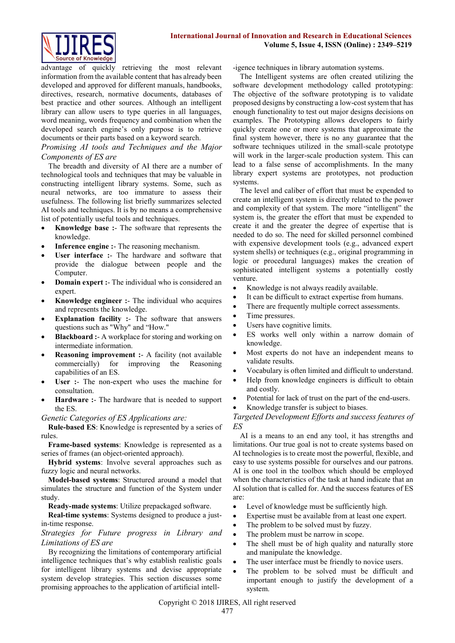

advantage of quickly retrieving the most relevant information from the available content that has already been developed and approved for different manuals, handbooks, directives, research, normative documents, databases of best practice and other sources. Although an intelligent library can allow users to type queries in all languages, word meaning, words frequency and combination when the developed search engine's only purpose is to retrieve documents or their parts based on a keyword search.

## *Promising AI tools and Techniques and the Major Components of ES are*

The breadth and diversity of AI there are a number of technological tools and techniques that may be valuable in constructing intelligent library systems. Some, such as neural networks, are too immature to assess their usefulness. The following list briefly summarizes selected AI tools and techniques. It is by no means a comprehensive list of potentially useful tools and techniques.

- **Knowledge base :** The software that represents the knowledge.
- **Inference engine :** The reasoning mechanism.
- **User interface :** The hardware and software that provide the dialogue between people and the Computer.
- **Domain expert :** The individual who is considered an expert.
- **Knowledge engineer :** The individual who acquires and represents the knowledge.
- **Explanation facility :** The software that answers questions such as "Why" and "How."
- **Blackboard :** A workplace for storing and working on intermediate information.
- **Reasoning improvement :** A facility (not available commercially) for improving the Reasoning capabilities of an ES.
- **User :** The non-expert who uses the machine for consultation.
- **Hardware :** The hardware that is needed to support the ES.

*Genetic Categories of ES Applications are:*

**Rule-based ES**: Knowledge is represented by a series of rules.

**Frame-based systems**: Knowledge is represented as a series of frames (an object-oriented approach).

**Hybrid systems**: Involve several approaches such as fuzzy logic and neural networks.

**Model-based systems**: Structured around a model that simulates the structure and function of the System under study.

**Ready-made systems**: Utilize prepackaged software.

**Real-time systems**: Systems designed to produce a justin-time response.

*Strategies for Future progress in Library and Limitations of ES are*

By recognizing the limitations of contemporary artificial intelligence techniques that's why establish realistic goals for intelligent library systems and devise appropriate system develop strategies. This section discusses some promising approaches to the application of artificial intell-igence techniques in library automation systems.

The Intelligent systems are often created utilizing the software development methodology called prototyping: The objective of the software prototyping is to validate proposed designs by constructing a low-cost system that has enough functionality to test out major designs decisions on examples. The Prototyping allows developers to fairly quickly create one or more systems that approximate the final system however, there is no any guarantee that the software techniques utilized in the small-scale prototype will work in the larger-scale production system. This can lead to a false sense of accomplishments. In the many library expert systems are prototypes, not production systems.

The level and caliber of effort that must be expended to create an intelligent system is directly related to the power and complexity of that system. The more "intelligent" the system is, the greater the effort that must be expended to create it and the greater the degree of expertise that is needed to do so. The need for skilled personnel combined with expensive development tools (e.g., advanced expert system shells) or techniques (e.g., original programming in logic or procedural languages) makes the creation of sophisticated intelligent systems a potentially costly venture.

- Knowledge is not always readily available.
- It can be difficult to extract expertise from humans.
- There are frequently multiple correct assessments.
- Time pressures.
- Users have cognitive limits.
- ES works well only within a narrow domain of knowledge.
- Most experts do not have an independent means to validate results.
- Vocabulary is often limited and difficult to understand.
- Help from knowledge engineers is difficult to obtain and costly.
- Potential for lack of trust on the part of the end-users.
- Knowledge transfer is subject to biases.

## *Targeted Development Efforts and success features of ES*

AI is a means to an end any tool, it has strengths and limitations. Our true goal is not to create systems based on AI technologies is to create most the powerful, flexible, and easy to use systems possible for ourselves and our patrons. AI is one tool in the toolbox which should be employed when the characteristics of the task at hand indicate that an AI solution that is called for. And the success features of ES are:

- Level of knowledge must be sufficiently high.
- Expertise must be available from at least one expert.
- The problem to be solved must by fuzzy.
- The problem must be narrow in scope.
- The shell must be of high quality and naturally store and manipulate the knowledge.
- The user interface must be friendly to novice users.
- The problem to be solved must be difficult and important enough to justify the development of a system.